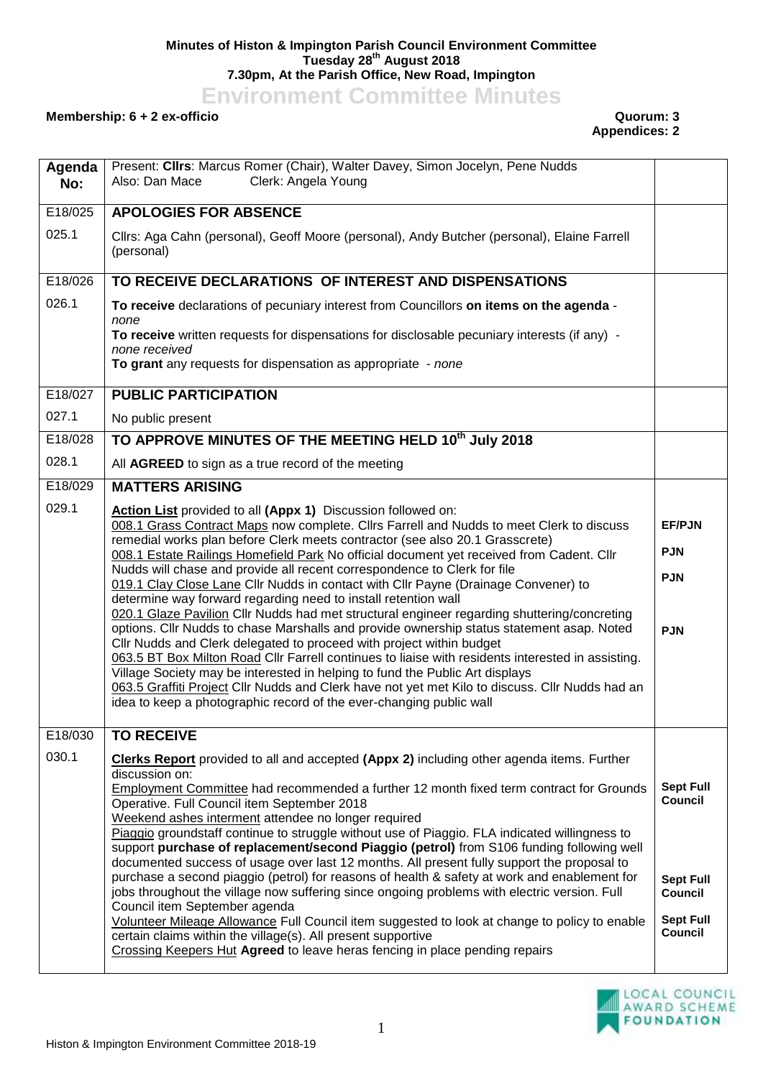## **Minutes of Histon & Impington Parish Council Environment Committee Tuesday 28th August 2018 7.30pm, At the Parish Office, New Road, Impington**

**Environment Committee Minutes**

## **Membership: 6 + 2 ex-officio Quorum: 3**

## **Appendices: 2**

| Agenda<br>No:    | Present: Clirs: Marcus Romer (Chair), Walter Davey, Simon Jocelyn, Pene Nudds<br>Clerk: Angela Young<br>Also: Dan Mace                                                                                                                   |                             |
|------------------|------------------------------------------------------------------------------------------------------------------------------------------------------------------------------------------------------------------------------------------|-----------------------------|
| E18/025          | <b>APOLOGIES FOR ABSENCE</b>                                                                                                                                                                                                             |                             |
| 025.1            | Cllrs: Aga Cahn (personal), Geoff Moore (personal), Andy Butcher (personal), Elaine Farrell<br>(personal)                                                                                                                                |                             |
| E18/026          | TO RECEIVE DECLARATIONS OF INTEREST AND DISPENSATIONS                                                                                                                                                                                    |                             |
| 026.1            | To receive declarations of pecuniary interest from Councillors on items on the agenda -<br>none                                                                                                                                          |                             |
|                  | To receive written requests for dispensations for disclosable pecuniary interests (if any) -<br>none received<br>To grant any requests for dispensation as appropriate - none                                                            |                             |
|                  |                                                                                                                                                                                                                                          |                             |
| E18/027<br>027.1 | <b>PUBLIC PARTICIPATION</b>                                                                                                                                                                                                              |                             |
|                  | No public present                                                                                                                                                                                                                        |                             |
| E18/028<br>028.1 | TO APPROVE MINUTES OF THE MEETING HELD 10th July 2018                                                                                                                                                                                    |                             |
|                  | All AGREED to sign as a true record of the meeting                                                                                                                                                                                       |                             |
| E18/029          | <b>MATTERS ARISING</b>                                                                                                                                                                                                                   |                             |
| 029.1            | Action List provided to all (Appx 1) Discussion followed on:<br>008.1 Grass Contract Maps now complete. Cllrs Farrell and Nudds to meet Clerk to discuss<br>remedial works plan before Clerk meets contractor (see also 20.1 Grasscrete) | <b>EF/PJN</b>               |
|                  | 008.1 Estate Railings Homefield Park No official document yet received from Cadent. Cllr                                                                                                                                                 | <b>PJN</b>                  |
|                  | Nudds will chase and provide all recent correspondence to Clerk for file<br>019.1 Clay Close Lane Cllr Nudds in contact with Cllr Payne (Drainage Convener) to<br>determine way forward regarding need to install retention wall         | <b>PJN</b>                  |
|                  | 020.1 Glaze Pavilion Cllr Nudds had met structural engineer regarding shuttering/concreting<br>options. Cllr Nudds to chase Marshalls and provide ownership status statement asap. Noted                                                 |                             |
|                  | Cllr Nudds and Clerk delegated to proceed with project within budget                                                                                                                                                                     | <b>PJN</b>                  |
|                  | 063.5 BT Box Milton Road Cllr Farrell continues to liaise with residents interested in assisting.<br>Village Society may be interested in helping to fund the Public Art displays                                                        |                             |
|                  | 063.5 Graffiti Project Cllr Nudds and Clerk have not yet met Kilo to discuss. Cllr Nudds had an                                                                                                                                          |                             |
|                  | idea to keep a photographic record of the ever-changing public wall                                                                                                                                                                      |                             |
| E18/030          | <b>TO RECEIVE</b>                                                                                                                                                                                                                        |                             |
| 030.1            | Clerks Report provided to all and accepted (Appx 2) including other agenda items. Further<br>discussion on:                                                                                                                              |                             |
|                  | Employment Committee had recommended a further 12 month fixed term contract for Grounds                                                                                                                                                  | <b>Sept Full</b>            |
|                  | Operative. Full Council item September 2018<br>Weekend ashes interment attendee no longer required                                                                                                                                       | <b>Council</b>              |
|                  | Piaggio groundstaff continue to struggle without use of Piaggio. FLA indicated willingness to                                                                                                                                            |                             |
|                  | support purchase of replacement/second Piaggio (petrol) from S106 funding following well<br>documented success of usage over last 12 months. All present fully support the proposal to                                                   |                             |
|                  | purchase a second piaggio (petrol) for reasons of health & safety at work and enablement for                                                                                                                                             | <b>Sept Full</b>            |
|                  | jobs throughout the village now suffering since ongoing problems with electric version. Full<br>Council item September agenda                                                                                                            | <b>Council</b>              |
|                  | Volunteer Mileage Allowance Full Council item suggested to look at change to policy to enable                                                                                                                                            | <b>Sept Full</b><br>Council |
|                  | certain claims within the village(s). All present supportive<br>Crossing Keepers Hut Agreed to leave heras fencing in place pending repairs                                                                                              |                             |
|                  |                                                                                                                                                                                                                                          |                             |

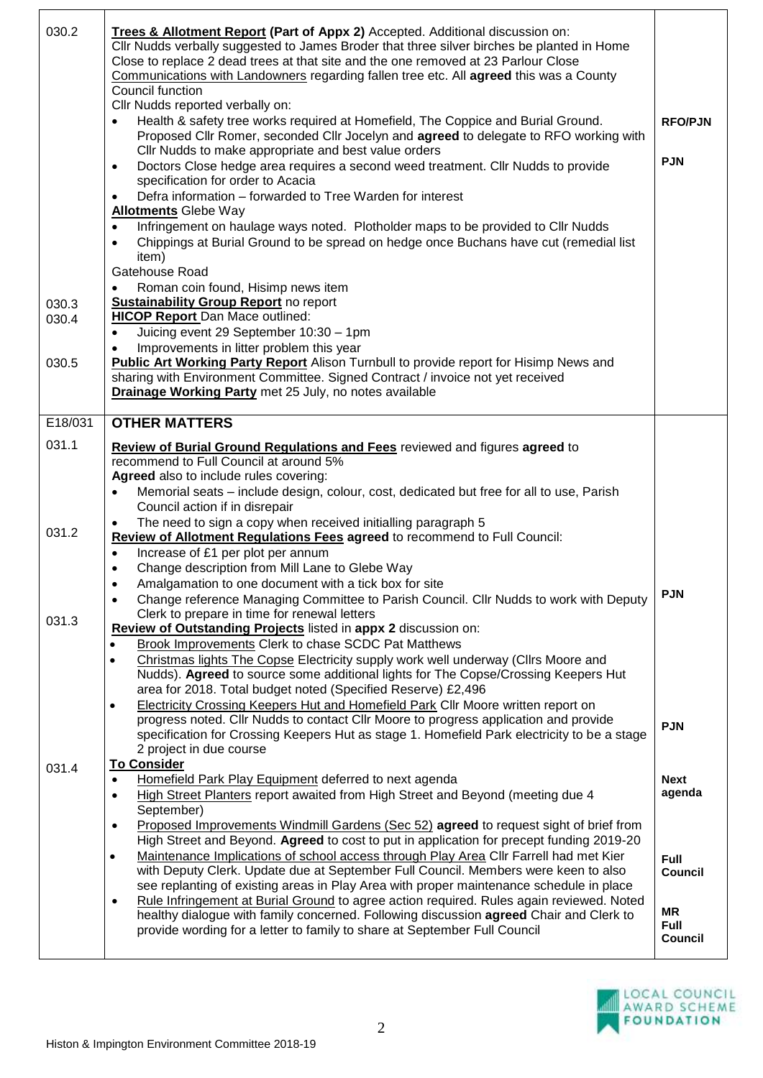| 030.2   | Trees & Allotment Report (Part of Appx 2) Accepted. Additional discussion on:<br>Cllr Nudds verbally suggested to James Broder that three silver birches be planted in Home<br>Close to replace 2 dead trees at that site and the one removed at 23 Parlour Close<br>Communications with Landowners regarding fallen tree etc. All agreed this was a County<br>Council function<br>Cllr Nudds reported verbally on: |                          |
|---------|---------------------------------------------------------------------------------------------------------------------------------------------------------------------------------------------------------------------------------------------------------------------------------------------------------------------------------------------------------------------------------------------------------------------|--------------------------|
|         | Health & safety tree works required at Homefield, The Coppice and Burial Ground.<br>Proposed Cllr Romer, seconded Cllr Jocelyn and agreed to delegate to RFO working with                                                                                                                                                                                                                                           | <b>RFO/PJN</b>           |
|         | Cllr Nudds to make appropriate and best value orders<br>Doctors Close hedge area requires a second weed treatment. Cllr Nudds to provide<br>$\bullet$                                                                                                                                                                                                                                                               | <b>PJN</b>               |
|         | specification for order to Acacia<br>Defra information - forwarded to Tree Warden for interest<br>$\bullet$                                                                                                                                                                                                                                                                                                         |                          |
|         | <b>Allotments Glebe Way</b>                                                                                                                                                                                                                                                                                                                                                                                         |                          |
|         | Infringement on haulage ways noted. Plotholder maps to be provided to Cllr Nudds<br>$\bullet$<br>Chippings at Burial Ground to be spread on hedge once Buchans have cut (remedial list<br>$\bullet$<br>item)                                                                                                                                                                                                        |                          |
|         | Gatehouse Road<br>Roman coin found, Hisimp news item                                                                                                                                                                                                                                                                                                                                                                |                          |
| 030.3   | <b>Sustainability Group Report no report</b>                                                                                                                                                                                                                                                                                                                                                                        |                          |
| 030.4   | <b>HICOP Report Dan Mace outlined:</b>                                                                                                                                                                                                                                                                                                                                                                              |                          |
|         | Juicing event 29 September 10:30 - 1pm<br>$\bullet$<br>Improvements in litter problem this year                                                                                                                                                                                                                                                                                                                     |                          |
| 030.5   | <b>Public Art Working Party Report</b> Alison Turnbull to provide report for Hisimp News and                                                                                                                                                                                                                                                                                                                        |                          |
|         | sharing with Environment Committee. Signed Contract / invoice not yet received<br>Drainage Working Party met 25 July, no notes available                                                                                                                                                                                                                                                                            |                          |
|         |                                                                                                                                                                                                                                                                                                                                                                                                                     |                          |
| E18/031 | <b>OTHER MATTERS</b>                                                                                                                                                                                                                                                                                                                                                                                                |                          |
| 031.1   | Review of Burial Ground Regulations and Fees reviewed and figures agreed to                                                                                                                                                                                                                                                                                                                                         |                          |
|         | recommend to Full Council at around 5%<br>Agreed also to include rules covering:                                                                                                                                                                                                                                                                                                                                    |                          |
|         | Memorial seats - include design, colour, cost, dedicated but free for all to use, Parish                                                                                                                                                                                                                                                                                                                            |                          |
|         | Council action if in disrepair<br>The need to sign a copy when received initialling paragraph 5                                                                                                                                                                                                                                                                                                                     |                          |
| 031.2   | ٠<br>Review of Allotment Regulations Fees agreed to recommend to Full Council:                                                                                                                                                                                                                                                                                                                                      |                          |
|         | Increase of £1 per plot per annum<br>$\bullet$                                                                                                                                                                                                                                                                                                                                                                      |                          |
|         | Change description from Mill Lane to Glebe Way<br>$\bullet$<br>Amalgamation to one document with a tick box for site                                                                                                                                                                                                                                                                                                |                          |
|         | Change reference Managing Committee to Parish Council. Cllr Nudds to work with Deputy<br>$\bullet$                                                                                                                                                                                                                                                                                                                  | <b>PJN</b>               |
| 031.3   | Clerk to prepare in time for renewal letters                                                                                                                                                                                                                                                                                                                                                                        |                          |
|         | Review of Outstanding Projects listed in appx 2 discussion on:<br><b>Brook Improvements Clerk to chase SCDC Pat Matthews</b><br>٠                                                                                                                                                                                                                                                                                   |                          |
|         | Christmas lights The Copse Electricity supply work well underway (Cllrs Moore and<br>$\bullet$                                                                                                                                                                                                                                                                                                                      |                          |
|         | Nudds). Agreed to source some additional lights for The Copse/Crossing Keepers Hut<br>area for 2018. Total budget noted (Specified Reserve) £2,496                                                                                                                                                                                                                                                                  |                          |
|         | Electricity Crossing Keepers Hut and Homefield Park Cllr Moore written report on<br>progress noted. Cllr Nudds to contact Cllr Moore to progress application and provide                                                                                                                                                                                                                                            |                          |
|         | specification for Crossing Keepers Hut as stage 1. Homefield Park electricity to be a stage                                                                                                                                                                                                                                                                                                                         | <b>PJN</b>               |
|         | 2 project in due course                                                                                                                                                                                                                                                                                                                                                                                             |                          |
| 031.4   | <b>To Consider</b><br>Homefield Park Play Equipment deferred to next agenda<br>$\bullet$                                                                                                                                                                                                                                                                                                                            | <b>Next</b>              |
|         | High Street Planters report awaited from High Street and Beyond (meeting due 4<br>$\bullet$                                                                                                                                                                                                                                                                                                                         | agenda                   |
|         | September)                                                                                                                                                                                                                                                                                                                                                                                                          |                          |
|         | Proposed Improvements Windmill Gardens (Sec 52) agreed to request sight of brief from<br>$\bullet$<br>High Street and Beyond. Agreed to cost to put in application for precept funding 2019-20                                                                                                                                                                                                                      |                          |
|         | Maintenance Implications of school access through Play Area Cllr Farrell had met Kier<br>$\bullet$                                                                                                                                                                                                                                                                                                                  | <b>Full</b>              |
|         | with Deputy Clerk. Update due at September Full Council. Members were keen to also<br>see replanting of existing areas in Play Area with proper maintenance schedule in place                                                                                                                                                                                                                                       | <b>Council</b>           |
|         | Rule Infringement at Burial Ground to agree action required. Rules again reviewed. Noted<br>$\bullet$                                                                                                                                                                                                                                                                                                               |                          |
|         | healthy dialogue with family concerned. Following discussion agreed Chair and Clerk to                                                                                                                                                                                                                                                                                                                              | <b>MR</b><br><b>Full</b> |
|         | provide wording for a letter to family to share at September Full Council                                                                                                                                                                                                                                                                                                                                           | <b>Council</b>           |
|         |                                                                                                                                                                                                                                                                                                                                                                                                                     |                          |